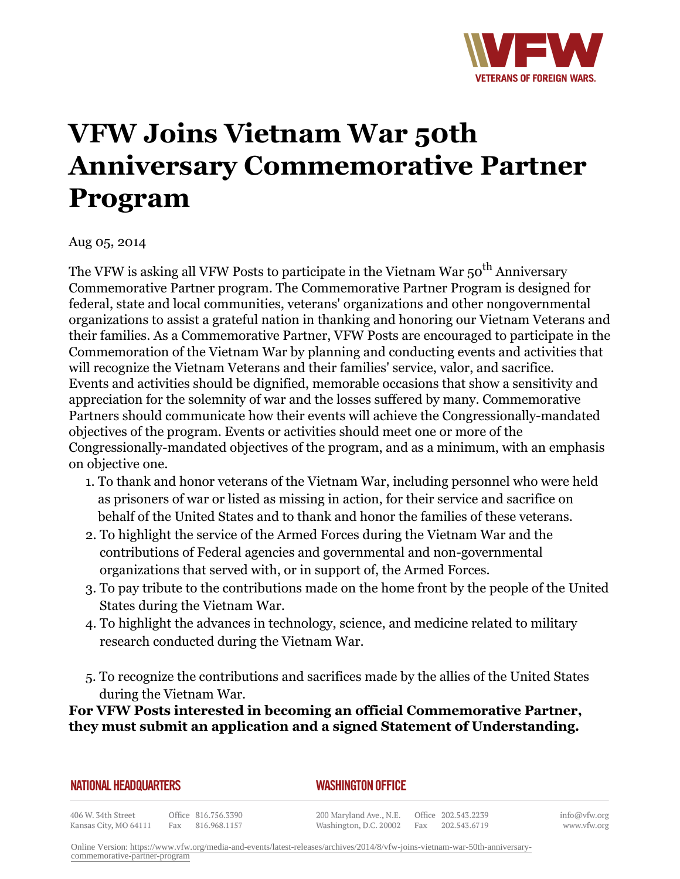

## **VFW Joins Vietnam War 50th Anniversary Commemorative Partner Program**

Aug 05, 2014

The VFW is asking all VFW Posts to participate in the Vietnam War 50<sup>th</sup> Anniversary Commemorative Partner program. The Commemorative Partner Program is designed for federal, state and local communities, veterans' organizations and other nongovernmental organizations to assist a grateful nation in thanking and honoring our Vietnam Veterans and their families. As a Commemorative Partner, VFW Posts are encouraged to participate in the Commemoration of the Vietnam War by planning and conducting events and activities that will recognize the Vietnam Veterans and their families' service, valor, and sacrifice. Events and activities should be dignified, memorable occasions that show a sensitivity and appreciation for the solemnity of war and the losses suffered by many. Commemorative Partners should communicate how their events will achieve the Congressionally-mandated objectives of the program. Events or activities should meet one or more of the Congressionally-mandated objectives of the program, and as a minimum, with an emphasis on objective one.

- 1. To thank and honor veterans of the Vietnam War, including personnel who were held as prisoners of war or listed as missing in action, for their service and sacrifice on behalf of the United States and to thank and honor the families of these veterans.
- To highlight the service of the Armed Forces during the Vietnam War and the 2. contributions of Federal agencies and governmental and non-governmental organizations that served with, or in support of, the Armed Forces.
- To pay tribute to the contributions made on the home front by the people of the United 3. States during the Vietnam War.
- To highlight the advances in technology, science, and medicine related to military 4. research conducted during the Vietnam War.
- 5. To recognize the contributions and sacrifices made by the allies of the United States during the Vietnam War.

**For VFW Posts interested in becoming an official Commemorative Partner, they must submit an application and a signed Statement of Understanding.**

|  |  |  |  | NATIONAL HEADQUARTERS |  |
|--|--|--|--|-----------------------|--|
|  |  |  |  |                       |  |

## *WASHINGTON OFFICE*

406 W. 34th Street Office 816.756.3390 Kansas City, MO 64111 Fax 816.968.1157

200 Maryland Ave., N.E. Washington, D.C. 20002

Office 202.543.2239 Fax 202.543.6719

info@vfw.org www.vfw.org

Online Version: [https://www.vfw.org/media-and-events/latest-releases/archives/2014/8/vfw-joins-vietnam-war-50th-anniversary](https://www.vfw.org/media-and-events/latest-releases/archives/2014/8/vfw-joins-vietnam-war-50th-anniversary-commemorative-partner-program)[commemorative-partner-program](https://www.vfw.org/media-and-events/latest-releases/archives/2014/8/vfw-joins-vietnam-war-50th-anniversary-commemorative-partner-program)